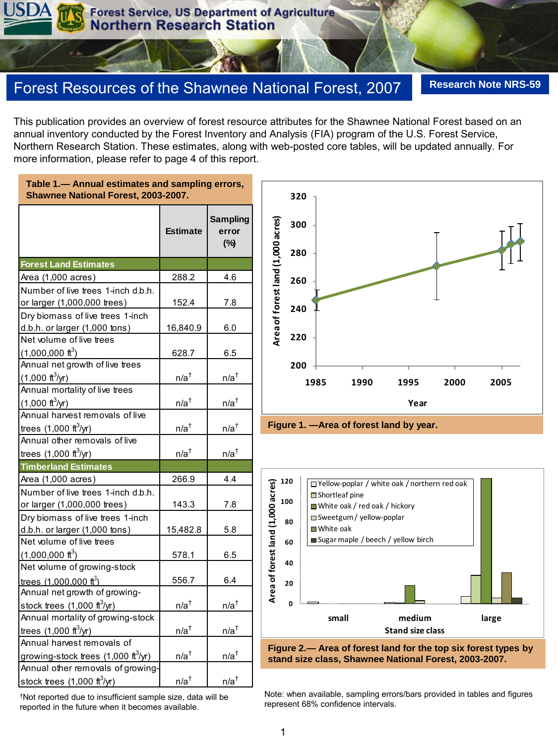# Forest Resources of the Shawnee National Forest, 2007 **Research Note NRS-59**

This publication provides an overview of forest resource attributes for the Shawnee National Forest based on an annual inventory conducted by the Forest Inventory and Analysis (FIA) program of the U.S. Forest Service, Northern Research Station. These estimates, along with web-posted core tables, will be updated annually. For more information, please refer to page 4 of this report.

**Table 1.— Annual estimates and sampling errors, Shawnee National Forest, 2003-2007.**

|                                                      | <b>Estimate</b> | <b>Sampling</b><br>error<br>(%) |
|------------------------------------------------------|-----------------|---------------------------------|
| <b>Forest Land Estimates</b>                         |                 |                                 |
| Area (1,000 acres)                                   | 288.2           | 4.6                             |
| Number of live trees 1-inch d.b.h.                   |                 |                                 |
| or larger (1,000,000 trees)                          | 152.4           | 7.8                             |
| Dry biomass of live trees 1-inch                     |                 |                                 |
| d.b.h. or larger (1,000 tons)                        | 16,840.9        | 6.0                             |
| Net volume of live trees                             |                 |                                 |
| $(1,000,000 \text{ ft}^3)$                           | 628.7           | 6.5                             |
| Annual net growth of live trees                      |                 |                                 |
| $(1,000 \text{ ft}^3/\text{yr})$                     | $n/a^{\dagger}$ | $n/a^{\dagger}$                 |
| Annual mortality of live trees                       |                 |                                 |
| $(1,000 \text{ ft}^3/\text{yr})$                     | $n/a^{\dagger}$ | $n/a^{\dagger}$                 |
| Annual harvest removals of live                      |                 |                                 |
| trees $(1,000 \text{ ft}^3/\text{yr})$               | $n/a^{\dagger}$ | $n/a^{\dagger}$                 |
| Annual other removals of live                        |                 |                                 |
| trees $(1,000 \text{ ft}^3/\text{yr})$               | $n/a^{\dagger}$ | $n/a^{\dagger}$                 |
| <b>Timberland Estimates</b>                          |                 |                                 |
| Area (1,000 acres)                                   | 266.9           | 4.4                             |
| Number of live trees 1-inch d.b.h.                   |                 |                                 |
| or larger (1,000,000 trees)                          | 143.3           | 7.8                             |
| Dry biomass of live trees 1-inch                     |                 |                                 |
| d.b.h. or larger (1,000 tons)                        | 15,482.8        | 5.8                             |
| Net volume of live trees                             |                 |                                 |
| $(1,000,000 \text{ ft}^3)$                           | 578.1           | 6.5                             |
| Net volume of growing-stock                          |                 |                                 |
| trees $(1,000,000 \text{ ft}^3)$                     | 556.7           | 6.4                             |
| Annual net growth of growing-                        |                 |                                 |
| stock trees $(1,000 \text{ ft}^3/\text{yr})$         | $n/a^{\dagger}$ | $n/a^{\dagger}$                 |
| Annual mortality of growing-stock                    |                 |                                 |
| trees $(1,000 \text{ ft}^3/\text{yr})$               | $n/a^{\dagger}$ | $n/a^{\dagger}$                 |
| Annual harvest removals of                           |                 |                                 |
| growing-stock trees $(1,000 \text{ ft}^3/\text{yr})$ | $n/a^{\dagger}$ | $n/a^{\dagger}$                 |
| Annual other removals of growing-                    |                 |                                 |
| stock trees $(1,000 \text{ ft}^3/\text{yr})$         | $n/a^{\dagger}$ | $n/a^{\dagger}$                 |







**stand size class, Shawnee National Forest, 2003-2007.**

Note: when available, sampling errors/bars provided in tables and figures represent 68% confidence intervals.

†Not reported due to insufficient sample size, data will be reported in the future when it becomes available.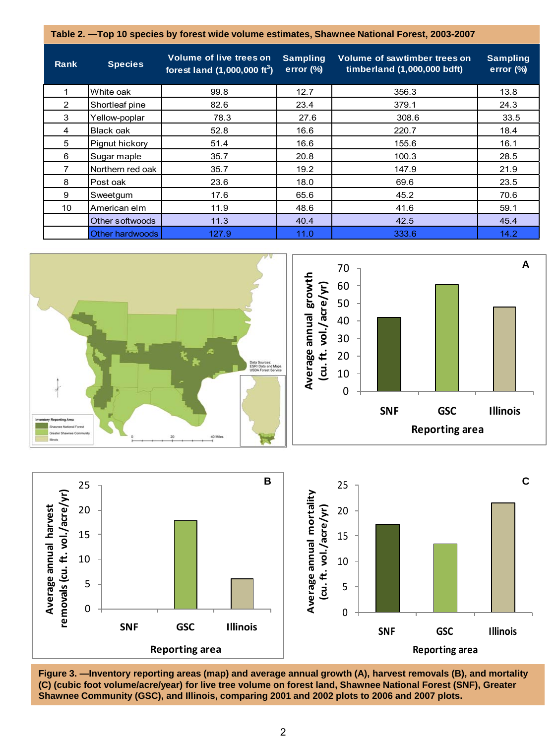**Table 2. —Top 10 species by forest wide volume estimates, Shawnee National Forest, 2003-2007**

| Rank | <b>Species</b>     | <b>Volume of live trees on</b><br>forest land $(1,000,000 \text{ ft}^3)$ | <b>Sampling</b><br>error $(\%)$ | Volume of sawtimber trees on<br>timberland (1,000,000 bdft) | <b>Sampling</b><br>error (%) |
|------|--------------------|--------------------------------------------------------------------------|---------------------------------|-------------------------------------------------------------|------------------------------|
|      | White oak          | 99.8                                                                     | 12.7                            | 356.3                                                       | 13.8                         |
| 2    | Shortleaf pine     | 82.6                                                                     | 23.4                            | 379.1                                                       | 24.3                         |
| 3    | Yellow-poplar      | 78.3                                                                     | 27.6                            | 308.6                                                       | 33.5                         |
| 4    | Black oak          | 52.8                                                                     | 16.6                            | 220.7                                                       | 18.4                         |
| 5    | Pignut hickory     | 51.4                                                                     | 16.6                            | 155.6                                                       | 16.1                         |
| 6    | Sugar maple        | 35.7                                                                     | 20.8                            | 100.3                                                       | 28.5                         |
| 7    | l Northern red oak | 35.7                                                                     | 19.2                            | 147.9                                                       | 21.9                         |
| 8    | Post oak           | 23.6                                                                     | 18.0                            | 69.6                                                        | 23.5                         |
| 9    | Sweetgum           | 17.6                                                                     | 65.6                            | 45.2                                                        | 70.6                         |
| 10   | American elm       | 11.9                                                                     | 48.6                            | 41.6                                                        | 59.1                         |
|      | Other softwoods    | 11.3                                                                     | 40.4                            | 42.5                                                        | 45.4                         |
|      | Other hardwoods    | 127.9                                                                    | 11.0                            | 333.6                                                       | 14.2                         |



**Figure 3. —Inventory reporting areas (map) and average annual growth (A), harvest removals (B), and mortality (C) (cubic foot volume/acre/year) for live tree volume on forest land, Shawnee National Forest (SNF), Greater Shawnee Community (GSC), and Illinois, comparing 2001 and 2002 plots to 2006 and 2007 plots.**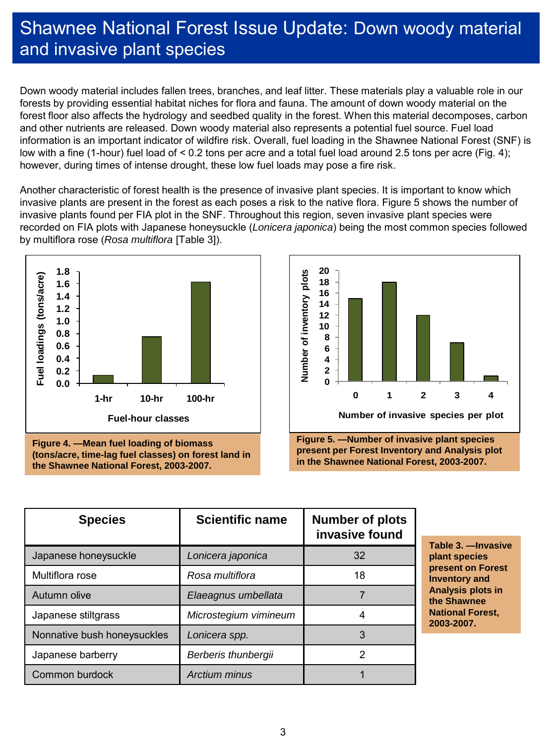# Shawnee National Forest Issue Update: Down woody material and invasive plant species

Down woody material includes fallen trees, branches, and leaf litter. These materials play a valuable role in our forests by providing essential habitat niches for flora and fauna. The amount of down woody material on the forest floor also affects the hydrology and seedbed quality in the forest. When this material decomposes, carbon and other nutrients are released. Down woody material also represents a potential fuel source. Fuel load information is an important indicator of wildfire risk. Overall, fuel loading in the Shawnee National Forest (SNF) is low with a fine (1-hour) fuel load of < 0.2 tons per acre and a total fuel load around 2.5 tons per acre (Fig. 4); however, during times of intense drought, these low fuel loads may pose a fire risk.

Another characteristic of forest health is the presence of invasive plant species. It is important to know which invasive plants are present in the forest as each poses a risk to the native flora. Figure 5 shows the number of invasive plants found per FIA plot in the SNF. Throughout this region, seven invasive plant species were recorded on FIA plots with Japanese honeysuckle (*Lonicera japonica*) being the most common species followed by multiflora rose (*Rosa multiflora* [Table 3]).



**Figure 4. —Mean fuel loading of biomass (tons/acre, time-lag fuel classes) on forest land in the Shawnee National Forest, 2003-2007.**



| <b>Species</b>              | <b>Scientific name</b> | <b>Number of plots</b><br>invasive found |
|-----------------------------|------------------------|------------------------------------------|
| Japanese honeysuckle        | Lonicera japonica      | 32                                       |
| Multiflora rose             | Rosa multiflora        | 18                                       |
| Autumn olive                | Elaeagnus umbellata    |                                          |
| Japanese stiltgrass         | Microstegium vimineum  |                                          |
| Nonnative bush honeysuckles | Lonicera spp.          | 3                                        |
| Japanese barberry           | Berberis thunbergii    | 2                                        |
| Common burdock              | Arctium minus          |                                          |

**Table 3. —Invasive plant species present on Forest Inventory and Analysis plots in the Shawnee National Forest, 2003-2007.**